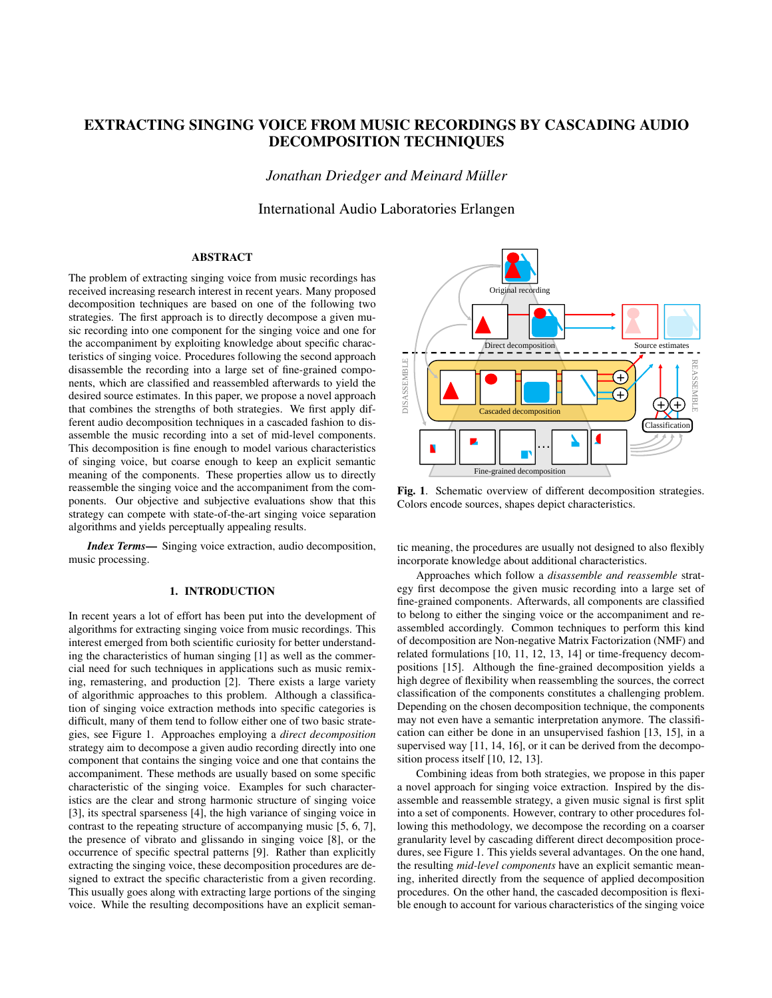# EXTRACTING SINGING VOICE FROM MUSIC RECORDINGS BY CASCADING AUDIO DECOMPOSITION TECHNIQUES

*Jonathan Driedger and Meinard Muller ¨*

International Audio Laboratories Erlangen

# ABSTRACT

The problem of extracting singing voice from music recordings has received increasing research interest in recent years. Many proposed decomposition techniques are based on one of the following two strategies. The first approach is to directly decompose a given music recording into one component for the singing voice and one for the accompaniment by exploiting knowledge about specific characteristics of singing voice. Procedures following the second approach disassemble the recording into a large set of fine-grained components, which are classified and reassembled afterwards to yield the desired source estimates. In this paper, we propose a novel approach that combines the strengths of both strategies. We first apply different audio decomposition techniques in a cascaded fashion to disassemble the music recording into a set of mid-level components. This decomposition is fine enough to model various characteristics of singing voice, but coarse enough to keep an explicit semantic meaning of the components. These properties allow us to directly reassemble the singing voice and the accompaniment from the components. Our objective and subjective evaluations show that this strategy can compete with state-of-the-art singing voice separation algorithms and yields perceptually appealing results.

*Index Terms*— Singing voice extraction, audio decomposition, music processing.

### 1. INTRODUCTION

In recent years a lot of effort has been put into the development of algorithms for extracting singing voice from music recordings. This interest emerged from both scientific curiosity for better understanding the characteristics of human singing [1] as well as the commercial need for such techniques in applications such as music remixing, remastering, and production [2]. There exists a large variety of algorithmic approaches to this problem. Although a classification of singing voice extraction methods into specific categories is difficult, many of them tend to follow either one of two basic strategies, see Figure 1. Approaches employing a *direct decomposition* strategy aim to decompose a given audio recording directly into one component that contains the singing voice and one that contains the accompaniment. These methods are usually based on some specific characteristic of the singing voice. Examples for such characteristics are the clear and strong harmonic structure of singing voice [3], its spectral sparseness [4], the high variance of singing voice in contrast to the repeating structure of accompanying music [5, 6, 7], the presence of vibrato and glissando in singing voice [8], or the occurrence of specific spectral patterns [9]. Rather than explicitly extracting the singing voice, these decomposition procedures are designed to extract the specific characteristic from a given recording. This usually goes along with extracting large portions of the singing Something voice, but an evoluation and the resulting of the resulting of the resulting of the resulting of the resulting of the resulting of the resulting of the resulting of the resulting of the resulting of the resultin



Fig. 1. Schematic overview of different decomposition strategies. Colors encode sources, shapes depict characteristics.

tic meaning, the procedures are usually not designed to also flexibly incorporate knowledge about additional characteristics.

Approaches which follow a *disassemble and reassemble* strategy first decompose the given music recording into a large set of fine-grained components. Afterwards, all components are classified to belong to either the singing voice or the accompaniment and reassembled accordingly. Common techniques to perform this kind of decomposition are Non-negative Matrix Factorization (NMF) and related formulations [10, 11, 12, 13, 14] or time-frequency decompositions [15]. Although the fine-grained decomposition yields a high degree of flexibility when reassembling the sources, the correct classification of the components constitutes a challenging problem. Depending on the chosen decomposition technique, the components may not even have a semantic interpretation anymore. The classification can either be done in an unsupervised fashion [13, 15], in a supervised way [11, 14, 16], or it can be derived from the decomposition process itself [10, 12, 13].

Combining ideas from both strategies, we propose in this paper a novel approach for singing voice extraction. Inspired by the disassemble and reassemble strategy, a given music signal is first split into a set of components. However, contrary to other procedures following this methodology, we decompose the recording on a coarser granularity level by cascading different direct decomposition procedures, see Figure 1. This yields several advantages. On the one hand, the resulting *mid-level components* have an explicit semantic meaning, inherited directly from the sequence of applied decomposition procedures. On the other hand, the cascaded decomposition is flexible enough to account for various characteristics of the singing voice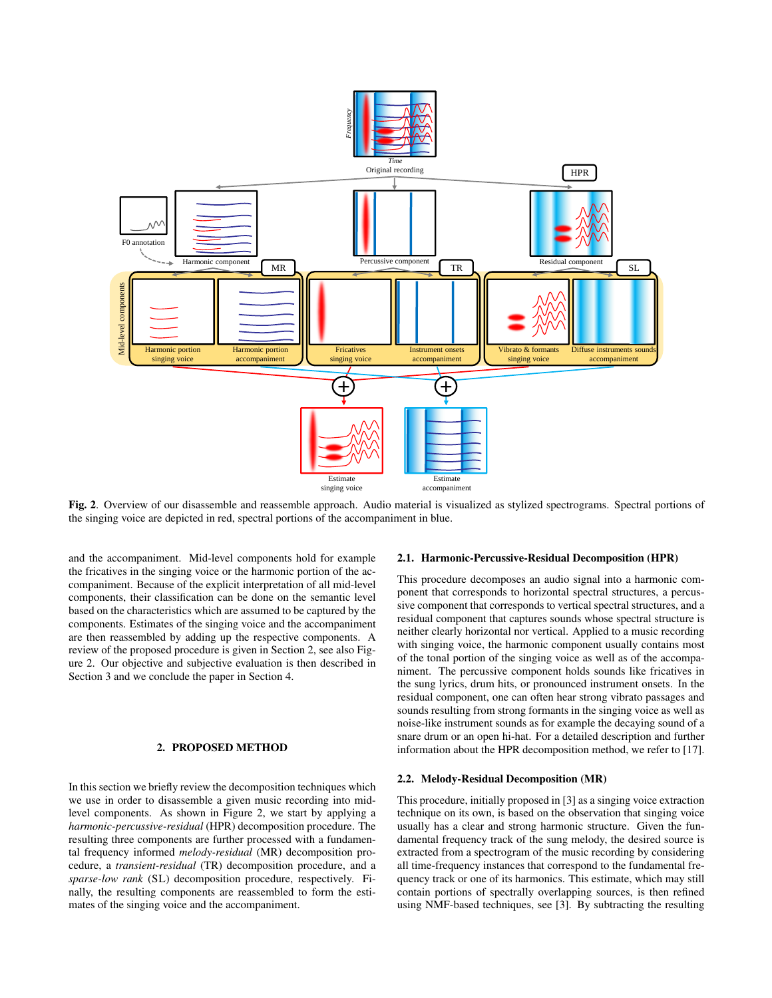

Fig. 2. Overview of our disassemble and reassemble approach. Audio material is visualized as stylized spectrograms. Spectral portions of the singing voice are depicted in red, spectral portions of the accompaniment in blue.

and the accompaniment. Mid-level components hold for example the fricatives in the singing voice or the harmonic portion of the accompaniment. Because of the explicit interpretation of all mid-level components, their classification can be done on the semantic level based on the characteristics which are assumed to be captured by the components. Estimates of the singing voice and the accompaniment are then reassembled by adding up the respective components. A review of the proposed procedure is given in Section 2, see also Figure 2. Our objective and subjective evaluation is then described in Section 3 and we conclude the paper in Section 4.

# 2. PROPOSED METHOD

In this section we briefly review the decomposition techniques which we use in order to disassemble a given music recording into midlevel components. As shown in Figure 2, we start by applying a *harmonic-percussive-residual* (HPR) decomposition procedure. The resulting three components are further processed with a fundamental frequency informed *melody-residual* (MR) decomposition procedure, a *transient-residual* (TR) decomposition procedure, and a *sparse-low rank* (SL) decomposition procedure, respectively. Finally, the resulting components are reassembled to form the estimates of the singing voice and the accompaniment.

#### 2.1. Harmonic-Percussive-Residual Decomposition (HPR)

This procedure decomposes an audio signal into a harmonic component that corresponds to horizontal spectral structures, a percussive component that corresponds to vertical spectral structures, and a residual component that captures sounds whose spectral structure is neither clearly horizontal nor vertical. Applied to a music recording with singing voice, the harmonic component usually contains most of the tonal portion of the singing voice as well as of the accompaniment. The percussive component holds sounds like fricatives in the sung lyrics, drum hits, or pronounced instrument onsets. In the residual component, one can often hear strong vibrato passages and sounds resulting from strong formants in the singing voice as well as noise-like instrument sounds as for example the decaying sound of a snare drum or an open hi-hat. For a detailed description and further information about the HPR decomposition method, we refer to [17].

#### 2.2. Melody-Residual Decomposition (MR)

This procedure, initially proposed in [3] as a singing voice extraction technique on its own, is based on the observation that singing voice usually has a clear and strong harmonic structure. Given the fundamental frequency track of the sung melody, the desired source is extracted from a spectrogram of the music recording by considering all time-frequency instances that correspond to the fundamental frequency track or one of its harmonics. This estimate, which may still contain portions of spectrally overlapping sources, is then refined using NMF-based techniques, see [3]. By subtracting the resulting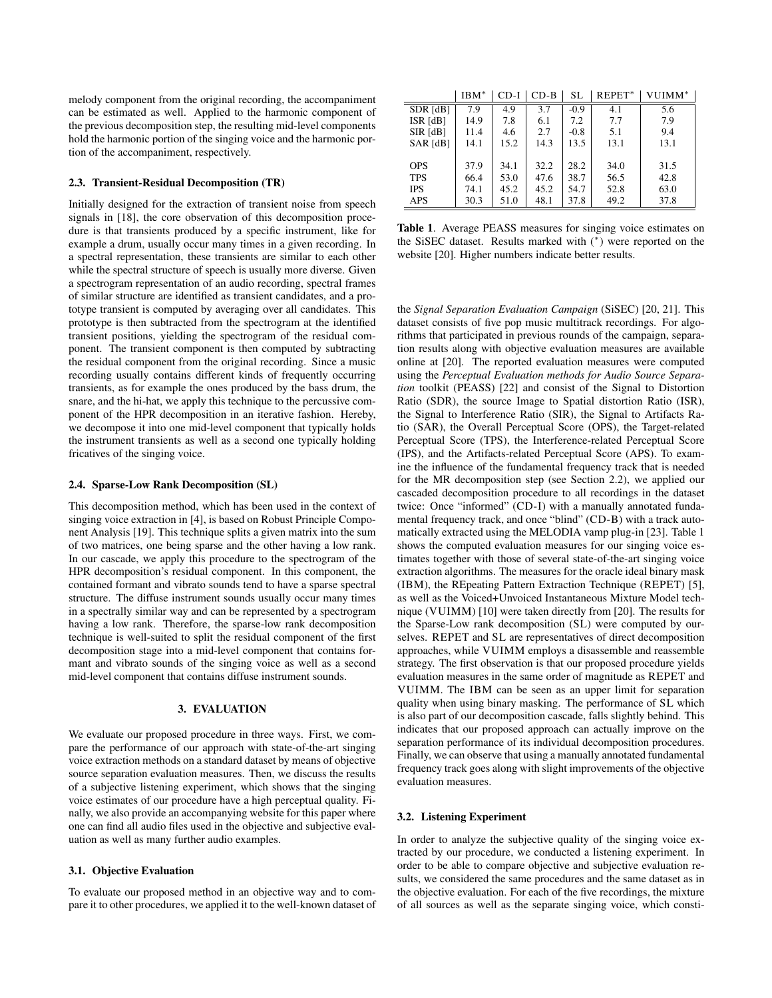melody component from the original recording, the accompaniment can be estimated as well. Applied to the harmonic component of the previous decomposition step, the resulting mid-level components hold the harmonic portion of the singing voice and the harmonic portion of the accompaniment, respectively.

#### 2.3. Transient-Residual Decomposition (TR)

Initially designed for the extraction of transient noise from speech signals in [18], the core observation of this decomposition procedure is that transients produced by a specific instrument, like for example a drum, usually occur many times in a given recording. In a spectral representation, these transients are similar to each other while the spectral structure of speech is usually more diverse. Given a spectrogram representation of an audio recording, spectral frames of similar structure are identified as transient candidates, and a prototype transient is computed by averaging over all candidates. This prototype is then subtracted from the spectrogram at the identified transient positions, yielding the spectrogram of the residual component. The transient component is then computed by subtracting the residual component from the original recording. Since a music recording usually contains different kinds of frequently occurring transients, as for example the ones produced by the bass drum, the snare, and the hi-hat, we apply this technique to the percussive component of the HPR decomposition in an iterative fashion. Hereby, we decompose it into one mid-level component that typically holds the instrument transients as well as a second one typically holding fricatives of the singing voice.

#### 2.4. Sparse-Low Rank Decomposition (SL)

This decomposition method, which has been used in the context of singing voice extraction in [4], is based on Robust Principle Component Analysis [19]. This technique splits a given matrix into the sum of two matrices, one being sparse and the other having a low rank. In our cascade, we apply this procedure to the spectrogram of the HPR decomposition's residual component. In this component, the contained formant and vibrato sounds tend to have a sparse spectral structure. The diffuse instrument sounds usually occur many times in a spectrally similar way and can be represented by a spectrogram having a low rank. Therefore, the sparse-low rank decomposition technique is well-suited to split the residual component of the first decomposition stage into a mid-level component that contains formant and vibrato sounds of the singing voice as well as a second mid-level component that contains diffuse instrument sounds.

## 3. EVALUATION

We evaluate our proposed procedure in three ways. First, we compare the performance of our approach with state-of-the-art singing voice extraction methods on a standard dataset by means of objective source separation evaluation measures. Then, we discuss the results of a subjective listening experiment, which shows that the singing voice estimates of our procedure have a high perceptual quality. Finally, we also provide an accompanying website for this paper where one can find all audio files used in the objective and subjective evaluation as well as many further audio examples.

#### 3.1. Objective Evaluation

To evaluate our proposed method in an objective way and to compare it to other procedures, we applied it to the well-known dataset of

 $IIRM* | CD-I | CD-R | SL | REPET* | VIIIMM* |$ 

| 7.9  | 4.9  | 3.7  | $-0.9$ | 4.1  | 5.6  |
|------|------|------|--------|------|------|
| 14.9 | 7.8  | 6.1  | 7.2    | 7.7  | 7.9  |
| 11.4 | 4.6  | 2.7  | $-0.8$ | 5.1  | 9.4  |
| 14.1 | 15.2 | 14.3 | 13.5   | 13.1 | 13.1 |
|      |      |      |        |      |      |
| 37.9 | 34.1 | 32.2 | 28.2   | 34.0 | 31.5 |
| 66.4 | 53.0 | 47.6 | 38.7   | 56.5 | 42.8 |
| 74.1 | 45.2 | 45.2 | 54.7   | 52.8 | 63.0 |
| 30.3 | 51.0 | 48.1 | 37.8   | 49.2 | 37.8 |
|      |      |      |        |      |      |

Table 1. Average PEASS measures for singing voice estimates on the SiSEC dataset. Results marked with (<sup>∗</sup> ) were reported on the website [20]. Higher numbers indicate better results.

the *Signal Separation Evaluation Campaign* (SiSEC) [20, 21]. This dataset consists of five pop music multitrack recordings. For algorithms that participated in previous rounds of the campaign, separation results along with objective evaluation measures are available online at [20]. The reported evaluation measures were computed using the *Perceptual Evaluation methods for Audio Source Separation* toolkit (PEASS) [22] and consist of the Signal to Distortion Ratio (SDR), the source Image to Spatial distortion Ratio (ISR), the Signal to Interference Ratio (SIR), the Signal to Artifacts Ratio (SAR), the Overall Perceptual Score (OPS), the Target-related Perceptual Score (TPS), the Interference-related Perceptual Score (IPS), and the Artifacts-related Perceptual Score (APS). To examine the influence of the fundamental frequency track that is needed for the MR decomposition step (see Section 2.2), we applied our cascaded decomposition procedure to all recordings in the dataset twice: Once "informed" (CD-I) with a manually annotated fundamental frequency track, and once "blind" (CD-B) with a track automatically extracted using the MELODIA vamp plug-in [23]. Table 1 shows the computed evaluation measures for our singing voice estimates together with those of several state-of-the-art singing voice extraction algorithms. The measures for the oracle ideal binary mask (IBM), the REpeating Pattern Extraction Technique (REPET) [5], as well as the Voiced+Unvoiced Instantaneous Mixture Model technique (VUIMM) [10] were taken directly from [20]. The results for the Sparse-Low rank decomposition (SL) were computed by ourselves. REPET and SL are representatives of direct decomposition approaches, while VUIMM employs a disassemble and reassemble strategy. The first observation is that our proposed procedure yields evaluation measures in the same order of magnitude as REPET and VUIMM. The IBM can be seen as an upper limit for separation quality when using binary masking. The performance of SL which is also part of our decomposition cascade, falls slightly behind. This indicates that our proposed approach can actually improve on the separation performance of its individual decomposition procedures. Finally, we can observe that using a manually annotated fundamental frequency track goes along with slight improvements of the objective evaluation measures.

#### 3.2. Listening Experiment

In order to analyze the subjective quality of the singing voice extracted by our procedure, we conducted a listening experiment. In order to be able to compare objective and subjective evaluation results, we considered the same procedures and the same dataset as in the objective evaluation. For each of the five recordings, the mixture of all sources as well as the separate singing voice, which consti-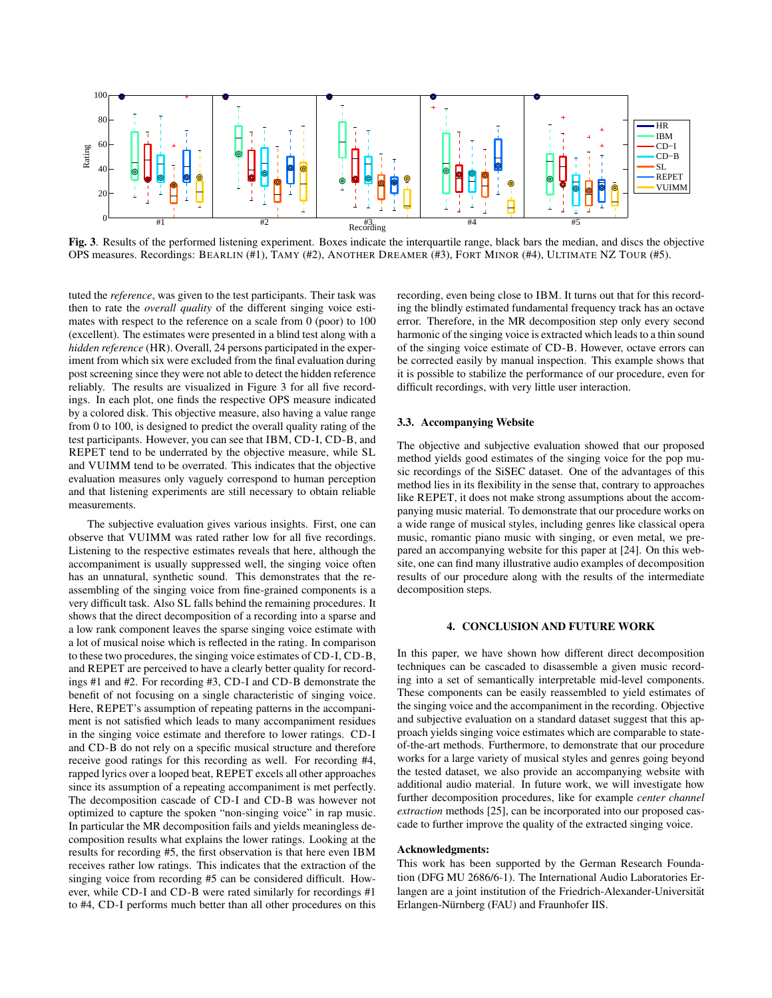

Fig. 3. Results of the performed listening experiment. Boxes indicate the interquartile range, black bars the median, and discs the objective OPS measures. Recordings: BEARLIN (#1), TAMY (#2), ANOTHER DREAMER (#3), FORT MINOR (#4), ULTIMATE NZ TOUR (#5).

tuted the *reference*, was given to the test participants. Their task was then to rate the *overall quality* of the different singing voice estimates with respect to the reference on a scale from 0 (poor) to 100 (excellent). The estimates were presented in a blind test along with a *hidden reference* (HR). Overall, 24 persons participated in the experiment from which six were excluded from the final evaluation during post screening since they were not able to detect the hidden reference reliably. The results are visualized in Figure 3 for all five recordings. In each plot, one finds the respective OPS measure indicated by a colored disk. This objective measure, also having a value range from 0 to 100, is designed to predict the overall quality rating of the test participants. However, you can see that IBM, CD-I, CD-B, and REPET tend to be underrated by the objective measure, while SL and VUIMM tend to be overrated. This indicates that the objective evaluation measures only vaguely correspond to human perception and that listening experiments are still necessary to obtain reliable measurements.

The subjective evaluation gives various insights. First, one can observe that VUIMM was rated rather low for all five recordings. Listening to the respective estimates reveals that here, although the accompaniment is usually suppressed well, the singing voice often has an unnatural, synthetic sound. This demonstrates that the reassembling of the singing voice from fine-grained components is a very difficult task. Also SL falls behind the remaining procedures. It shows that the direct decomposition of a recording into a sparse and a low rank component leaves the sparse singing voice estimate with a lot of musical noise which is reflected in the rating. In comparison to these two procedures, the singing voice estimates of CD-I, CD-B, and REPET are perceived to have a clearly better quality for recordings #1 and #2. For recording #3, CD-I and CD-B demonstrate the benefit of not focusing on a single characteristic of singing voice. Here, REPET's assumption of repeating patterns in the accompaniment is not satisfied which leads to many accompaniment residues in the singing voice estimate and therefore to lower ratings. CD-I and CD-B do not rely on a specific musical structure and therefore receive good ratings for this recording as well. For recording #4, rapped lyrics over a looped beat, REPET excels all other approaches since its assumption of a repeating accompaniment is met perfectly. The decomposition cascade of CD-I and CD-B was however not optimized to capture the spoken "non-singing voice" in rap music. In particular the MR decomposition fails and yields meaningless decomposition results what explains the lower ratings. Looking at the results for recording #5, the first observation is that here even IBM receives rather low ratings. This indicates that the extraction of the singing voice from recording #5 can be considered difficult. However, while CD-I and CD-B were rated similarly for recordings #1 to #4, CD-I performs much better than all other procedures on this

recording, even being close to IBM. It turns out that for this recording the blindly estimated fundamental frequency track has an octave error. Therefore, in the MR decomposition step only every second harmonic of the singing voice is extracted which leads to a thin sound of the singing voice estimate of CD-B. However, octave errors can be corrected easily by manual inspection. This example shows that it is possible to stabilize the performance of our procedure, even for difficult recordings, with very little user interaction.

## 3.3. Accompanying Website

The objective and subjective evaluation showed that our proposed method yields good estimates of the singing voice for the pop music recordings of the SiSEC dataset. One of the advantages of this method lies in its flexibility in the sense that, contrary to approaches like REPET, it does not make strong assumptions about the accompanying music material. To demonstrate that our procedure works on a wide range of musical styles, including genres like classical opera music, romantic piano music with singing, or even metal, we prepared an accompanying website for this paper at [24]. On this website, one can find many illustrative audio examples of decomposition results of our procedure along with the results of the intermediate decomposition steps.

### 4. CONCLUSION AND FUTURE WORK

In this paper, we have shown how different direct decomposition techniques can be cascaded to disassemble a given music recording into a set of semantically interpretable mid-level components. These components can be easily reassembled to yield estimates of the singing voice and the accompaniment in the recording. Objective and subjective evaluation on a standard dataset suggest that this approach yields singing voice estimates which are comparable to stateof-the-art methods. Furthermore, to demonstrate that our procedure works for a large variety of musical styles and genres going beyond the tested dataset, we also provide an accompanying website with additional audio material. In future work, we will investigate how further decomposition procedures, like for example *center channel extraction* methods [25], can be incorporated into our proposed cascade to further improve the quality of the extracted singing voice.

## Acknowledgments:

This work has been supported by the German Research Foundation (DFG MU 2686/6-1). The International Audio Laboratories Erlangen are a joint institution of the Friedrich-Alexander-Universität Erlangen-Nürnberg (FAU) and Fraunhofer IIS.